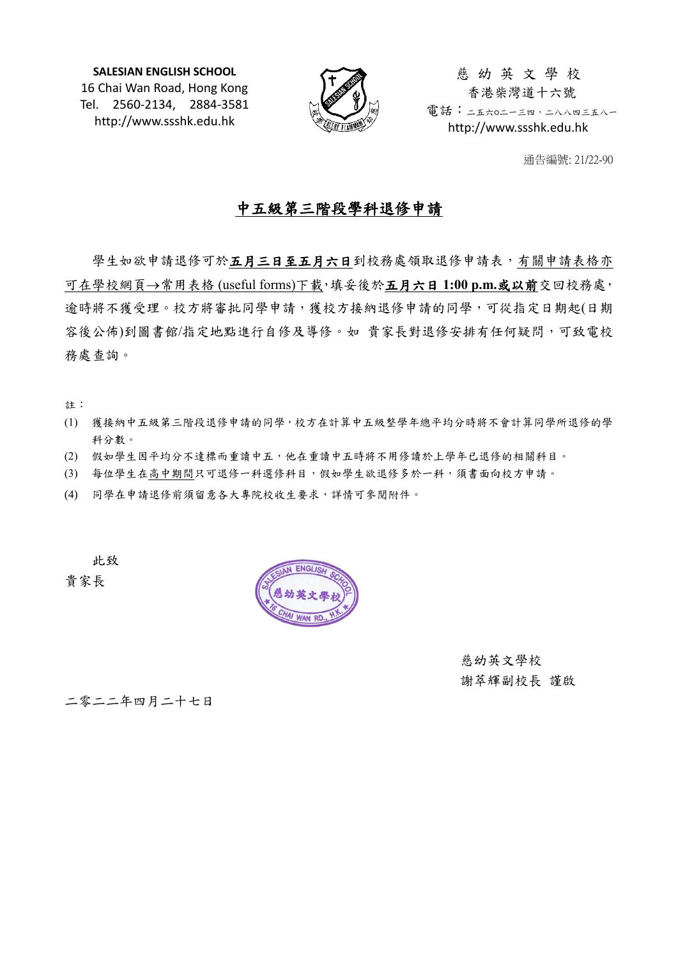**SALESIAN ENGLISH SCHOOL** 16 Chai Wan Road, Hong Kong Tel. 2560-2134, 2884-3581 http://www.ssshk.edu.hk



慈 幼 英 文 學 校 香港柴灣道十六號 電話:二五六0二一三四,二八八四三五八一 http://www.ssshk.edu.hk

通告編號: 21/22-90

## 中五級第三階段學科退修申請

學生如欲申請退修可於五月三日至五月六日到校務處領取退修申請表,有關申請表格亦 可在學校網頁→常用表格 (useful forms)下載,填妥後於**五月六日 1:00 p.m.或以前**交回校務處, 逾時將不獲受理。校方將審批同學申請,獲校方接納退修申請的同學,可從指定日期起(日期 容後公佈)到圖書館/指定地點進行自修及導修。如 貴家長對退修安排有任何疑問,可致電校 務處查詢。

註:

- (1) 獲接納中五級第三階段退修申請的同學,校方在計算中五級整學年總平均分時將不會計算同學所退修的學 科分數。
- (2) 假如學生因平均分不達標而重讀中五,他在重讀中五時將不用修讀於上學年已退修的相關科目。
- (3) 每位學生在高中期間只可退修一科選修科目,假如學生欲退修多於一科,須書面向校方申請。
- (4) 同學在申請退修前須留意各大專院校收生要求,詳情可參閱附件。

此致

貴家長



慈幼英文學校 謝萃輝副校長 謹啟

二零二二年四月二十七日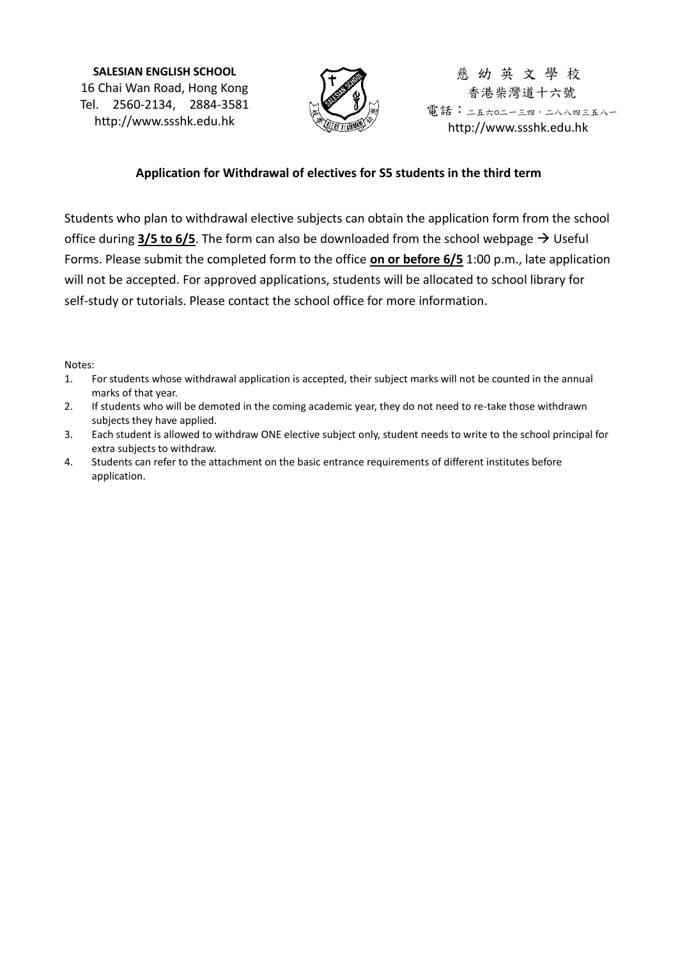**SALESIAN ENGLISH SCHOOL** 16 Chai Wan Road, Hong Kong Tel. 2560-2134, 2884-3581 http://www.ssshk.edu.hk



慈 幼 英 文 學 校 香港柴灣道十六號 電話:二五六0二一三四,二八八四三五八一 http://www.ssshk.edu.hk

## **Application for Withdrawal of electives for S5 students in the third term**

Students who plan to withdrawal elective subjects can obtain the application form from the school office during  $3/5$  to  $6/5$ . The form can also be downloaded from the school webpage  $\rightarrow$  Useful Forms. Please submit the completed form to the office **on or before 6/5** 1:00 p.m., late application will not be accepted. For approved applications, students will be allocated to school library for self-study or tutorials. Please contact the school office for more information.

Notes:

- 1. For students whose withdrawal application is accepted, their subject marks will not be counted in the annual marks of that year.
- 2. If students who will be demoted in the coming academic year, they do not need to re-take those withdrawn subjects they have applied.
- 3. Each student is allowed to withdraw ONE elective subject only, student needs to write to the school principal for extra subjects to withdraw.
- 4. Students can refer to the attachment on the basic entrance requirements of different institutes before application.